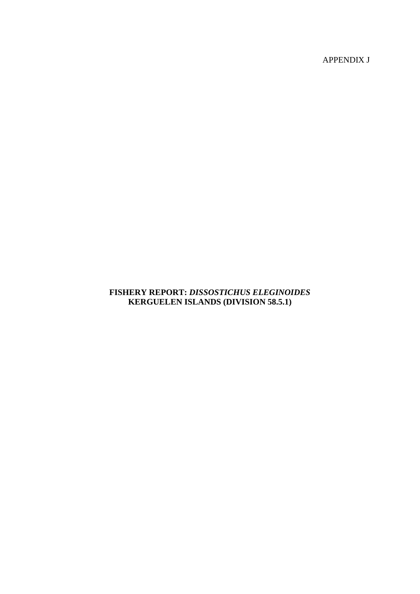APPENDIX J

# **FISHERY REPORT:** *DISSOSTICHUS ELEGINOIDES* **KERGUELEN ISLANDS (DIVISION 58.5.1)**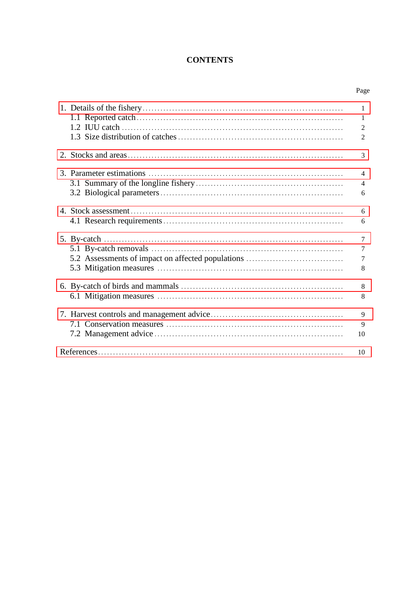# **CONTENTS**

| Page |
|------|
|      |

|                                                   | 1<br>1<br>$\overline{2}$<br>$\overline{2}$ |
|---------------------------------------------------|--------------------------------------------|
|                                                   | 3                                          |
|                                                   | $\overline{4}$<br>$\overline{4}$<br>6      |
|                                                   | 6<br>6                                     |
| 5.2 Assessments of impact on affected populations | $\overline{7}$<br>7<br>7<br>8              |
|                                                   | 8<br>8                                     |
|                                                   | 9<br>9<br>10                               |
|                                                   | 10                                         |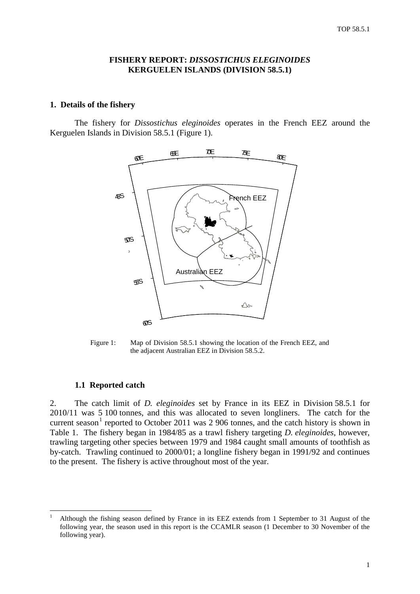## **FISHERY REPORT:** *DISSOSTICHUS ELEGINOIDES* **KERGUELEN ISLANDS (DIVISION 58.5.1)**

#### <span id="page-2-0"></span>**1. Details of the fishery**

The fishery for *Dissostichus eleginoides* operates in the French EEZ around the Kerguelen Islands in Division 58.5.1 (Figure 1).



Figure 1: Map of Division 58.5.1 showing the location of the French EEZ, and the adjacent Australian EEZ in Division 58.5.2.

#### **1.1 Reported catch**

2. The catch limit of *D. eleginoides* set by France in its EEZ in Division 58.5.1 for 2010/11 was 5 100 tonnes, and this was allocated to seven longliners. The catch for the current season<sup>[1](#page-2-1)</sup> reported to October 2011 was 2 906 tonnes, and the catch history is shown in Table 1. The fishery began in 1984/85 as a trawl fishery targeting *D. eleginoides*, however, trawling targeting other species between 1979 and 1984 caught small amounts of toothfish as by-catch. Trawling continued to 2000/01; a longline fishery began in 1991/92 and continues to the present. The fishery is active throughout most of the year.

<span id="page-2-1"></span> <sup>1</sup> Although the fishing season defined by France in its EEZ extends from 1 September to 31 August of the following year, the season used in this report is the CCAMLR season (1 December to 30 November of the following year).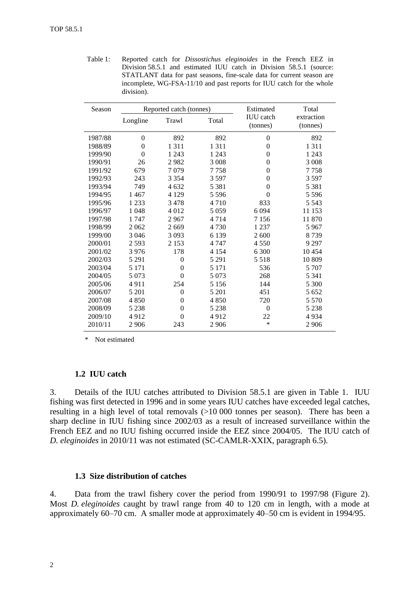Table 1: Reported catch for *Dissostichus eleginoides* in the French EEZ in Division 58.5.1 and estimated IUU catch in Division 58.5.1 (source: STATLANT data for past seasons, fine-scale data for current season are incomplete, WG-FSA-11/10 and past reports for IUU catch for the whole division).

| Season  |          | Reported catch (tonnes) |         | Estimated                    | Total                  |
|---------|----------|-------------------------|---------|------------------------------|------------------------|
|         | Longline | Trawl                   | Total   | <b>IUU</b> catch<br>(tonnes) | extraction<br>(tonnes) |
| 1987/88 | $\theta$ | 892                     | 892     | $\theta$                     | 892                    |
| 1988/89 | $\theta$ | 1 3 1 1                 | 1 3 1 1 | $\overline{0}$               | 1 3 1 1                |
| 1999/90 | $\Omega$ | 1 2 4 3                 | 1 2 4 3 | $\overline{0}$               | 1 2 4 3                |
| 1990/91 | 26       | 2982                    | 3 0 0 8 | $\theta$                     | 3 0 0 8                |
| 1991/92 | 679      | 7079                    | 7758    | $\theta$                     | 7758                   |
| 1992/93 | 243      | 3 3 5 4                 | 3597    | $\theta$                     | 3 5 9 7                |
| 1993/94 | 749      | 4 6 3 2                 | 5 3 8 1 | $\overline{0}$               | 5 3 8 1                |
| 1994/95 | 1467     | 4 1 2 9                 | 5 5 9 6 | $\theta$                     | 5 5 9 6                |
| 1995/96 | 1 2 3 3  | 3478                    | 4 7 1 0 | 833                          | 5 5 4 3                |
| 1996/97 | 1 0 4 8  | 4 0 1 2                 | 5 0 5 9 | 6 0 9 4                      | 11 153                 |
| 1997/98 | 1 747    | 2967                    | 4 7 1 4 | 7 1 5 6                      | 11 870                 |
| 1998/99 | 2 0 6 2  | 2 6 6 9                 | 4 7 3 0 | 1 2 3 7                      | 5 9 6 7                |
| 1999/00 | 3 0 4 6  | 3 0 9 3                 | 6 1 3 9 | 2 600                        | 8739                   |
| 2000/01 | 2 5 9 3  | 2 1 5 3                 | 4 7 4 7 | 4 5 5 0                      | 9 2 9 7                |
| 2001/02 | 3976     | 178                     | 4 1 5 4 | 6 300                        | 10454                  |
| 2002/03 | 5 2 9 1  | $\theta$                | 5 2 9 1 | 5 5 1 8                      | 10 809                 |
| 2003/04 | 5 1 7 1  | $\overline{0}$          | 5 1 7 1 | 536                          | 5 707                  |
| 2004/05 | 5 0 7 3  | $\theta$                | 5 0 7 3 | 268                          | 5 3 4 1                |
| 2005/06 | 4911     | 254                     | 5 1 5 6 | 144                          | 5 300                  |
| 2006/07 | 5 201    | $\overline{0}$          | 5 201   | 451                          | 5 6 5 2                |
| 2007/08 | 4850     | $\Omega$                | 4 8 5 0 | 720                          | 5 5 7 0                |
| 2008/09 | 5 2 3 8  | $\overline{0}$          | 5 2 3 8 | $\overline{0}$               | 5 2 3 8                |
| 2009/10 | 4912     | $\theta$                | 4912    | 22                           | 4934                   |
| 2010/11 | 2 9 0 6  | 243                     | 2 9 0 6 | $\ast$                       | 2 9 0 6                |

\* Not estimated

#### **1.2 IUU catch**

3. Details of the IUU catches attributed to Division 58.5.1 are given in Table 1. IUU fishing was first detected in 1996 and in some years IUU catches have exceeded legal catches, resulting in a high level of total removals (>10 000 tonnes per season). There has been a sharp decline in IUU fishing since 2002/03 as a result of increased surveillance within the French EEZ and no IUU fishing occurred inside the EEZ since 2004/05. The IUU catch of *D. eleginoides* in 2010/11 was not estimated (SC-CAMLR-XXIX, paragraph 6.5).

# **1.3 Size distribution of catches**

4. Data from the trawl fishery cover the period from 1990/91 to 1997/98 (Figure 2). Most *D. eleginoides* caught by trawl range from 40 to 120 cm in length, with a mode at approximately 60–70 cm. A smaller mode at approximately 40–50 cm is evident in 1994/95.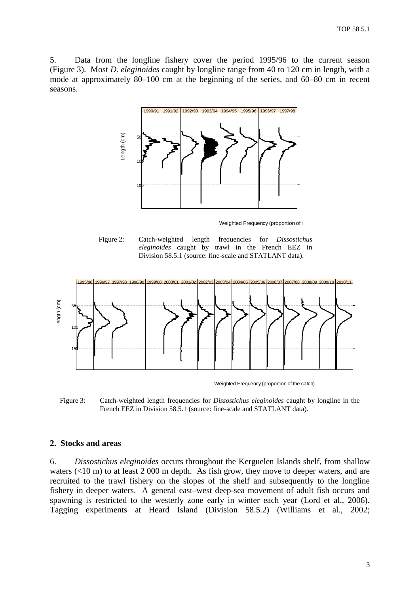<span id="page-4-0"></span>5. Data from the longline fishery cover the period 1995/96 to the current season (Figure 3). Most *D. eleginoides* caught by longline range from 40 to 120 cm in length, with a mode at approximately 80–100 cm at the beginning of the series, and 60–80 cm in recent seasons.



Weighted Frequency (proportion of the

Figure 2: Catch-weighted length frequencies for *Dissostichus eleginoides* caught by trawl in the French EEZ in Division 58.5.1 (source: fine-scale and STATLANT data).



Weighted Frequency (proportion of the catch)

Figure 3: Catch-weighted length frequencies for *Dissostichus eleginoides* caught by longline in the French EEZ in Division 58.5.1 (source: fine-scale and STATLANT data).

# **2. Stocks and areas**

6. *Dissostichus eleginoides* occurs throughout the Kerguelen Islands shelf, from shallow waters (<10 m) to at least 2 000 m depth. As fish grow, they move to deeper waters, and are recruited to the trawl fishery on the slopes of the shelf and subsequently to the longline fishery in deeper waters. A general east–west deep-sea movement of adult fish occurs and spawning is restricted to the westerly zone early in winter each year (Lord et al., 2006). Tagging experiments at Heard Island (Division 58.5.2) (Williams et al., 2002;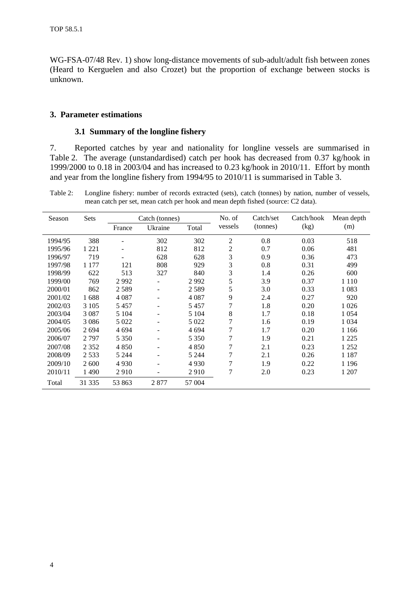<span id="page-5-0"></span>WG-FSA-07/48 Rev. 1) show long-distance movements of sub-adult/adult fish between zones (Heard to Kerguelen and also Crozet) but the proportion of exchange between stocks is unknown.

## **3. Parameter estimations**

## **3.1 Summary of the longline fishery**

7. Reported catches by year and nationality for longline vessels are summarised in Table 2. The average (unstandardised) catch per hook has decreased from 0.37 kg/hook in 1999/2000 to 0.18 in 2003/04 and has increased to 0.23 kg/hook in 2010/11. Effort by month and year from the longline fishery from 1994/95 to 2010/11 is summarised in Table 3.

Table 2: Longline fishery: number of records extracted (sets), catch (tonnes) by nation, number of vessels, mean catch per set, mean catch per hook and mean depth fished (source: C2 data).

| Season  | Sets    |         | Catch (tonnes) |         | No. of         | Catch/set | Catch/hook | Mean depth |
|---------|---------|---------|----------------|---------|----------------|-----------|------------|------------|
|         |         | France  | Ukraine        | Total   | vessels        | (tonnes)  | (kg)       | (m)        |
| 1994/95 | 388     |         | 302            | 302     | $\overline{2}$ | 0.8       | 0.03       | 518        |
| 1995/96 | 1 2 2 1 |         | 812            | 812     | 2              | 0.7       | 0.06       | 481        |
| 1996/97 | 719     |         | 628            | 628     | 3              | 0.9       | 0.36       | 473        |
| 1997/98 | 1 1 7 7 | 121     | 808            | 929     | 3              | 0.8       | 0.31       | 499        |
| 1998/99 | 622     | 513     | 327            | 840     | 3              | 1.4       | 0.26       | 600        |
| 1999/00 | 769     | 2992    |                | 2992    | 5              | 3.9       | 0.37       | 1 1 1 0    |
| 2000/01 | 862     | 2589    | -              | 2589    | 5              | 3.0       | 0.33       | 1 0 8 3    |
| 2001/02 | 1688    | 4 0 8 7 |                | 4 087   | 9              | 2.4       | 0.27       | 920        |
| 2002/03 | 3 1 0 5 | 5457    |                | 5457    | 7              | 1.8       | 0.20       | 1 0 2 6    |
| 2003/04 | 3 0 8 7 | 5 1 0 4 | ۰              | 5 1 0 4 | 8              | 1.7       | 0.18       | 1 0 5 4    |
| 2004/05 | 3 0 8 6 | 5 0 2 2 |                | 5 0 2 2 | 7              | 1.6       | 0.19       | 1 0 3 4    |
| 2005/06 | 2694    | 4 6 9 4 | -              | 4 6 9 4 | 7              | 1.7       | 0.20       | 1 1 6 6    |
| 2006/07 | 2 7 9 7 | 5 3 5 0 | -              | 5 3 5 0 | 7              | 1.9       | 0.21       | 1 2 2 5    |
| 2007/08 | 2 3 5 2 | 4 8 5 0 | -              | 4 8 5 0 | 7              | 2.1       | 0.23       | 1 2 5 2    |
| 2008/09 | 2 5 3 3 | 5 2 4 4 |                | 5 2 4 4 | $\overline{7}$ | 2.1       | 0.26       | 1 1 8 7    |
| 2009/10 | 2 600   | 4 9 3 0 |                | 4 9 3 0 | 7              | 1.9       | 0.22       | 1 1 9 6    |
| 2010/11 | 1 4 9 0 | 2910    | ۰              | 2910    | 7              | 2.0       | 0.23       | 1 207      |
| Total   | 31 335  | 53 863  | 2877           | 57 004  |                |           |            |            |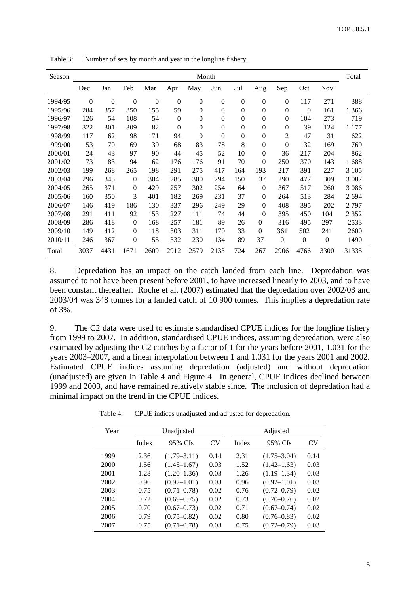| Season  | Month          |                  |                |          |              |                  |              |                  | Total            |                  |                  |                  |         |
|---------|----------------|------------------|----------------|----------|--------------|------------------|--------------|------------------|------------------|------------------|------------------|------------------|---------|
|         | Dec            | Jan              | Feb            | Mar      | Apr          | May              | Jun          | Jul              | Aug              | Sep              | Oct              | <b>Nov</b>       |         |
| 1994/95 | $\overline{0}$ | $\boldsymbol{0}$ | $\mathbf{0}$   | $\theta$ | $\mathbf{0}$ | $\theta$         | $\theta$     | $\overline{0}$   | $\overline{0}$   | $\mathbf{0}$     | 117              | 271              | 388     |
| 1995/96 | 284            | 357              | 350            | 155      | 59           | $\boldsymbol{0}$ | $\theta$     | $\boldsymbol{0}$ | $\boldsymbol{0}$ | $\boldsymbol{0}$ | $\overline{0}$   | 161              | 1 3 6 6 |
| 1996/97 | 126            | 54               | 108            | 54       | $\mathbf{0}$ | $\overline{0}$   | $\theta$     | $\boldsymbol{0}$ | $\overline{0}$   | $\mathbf{0}$     | 104              | 273              | 719     |
| 1997/98 | 322            | 301              | 309            | 82       | $\mathbf{0}$ | $\mathbf{0}$     | $\mathbf{0}$ | $\boldsymbol{0}$ | $\boldsymbol{0}$ | $\boldsymbol{0}$ | 39               | 124              | 1 1 7 7 |
| 1998/99 | 117            | 62               | 98             | 171      | 94           | $\theta$         | $\theta$     | $\overline{0}$   | $\overline{0}$   | $\overline{c}$   | 47               | 31               | 622     |
| 1999/00 | 53             | 70               | 69             | 39       | 68           | 83               | 78           | 8                | $\theta$         | $\overline{0}$   | 132              | 169              | 769     |
| 2000/01 | 24             | 43               | 97             | 90       | 44           | 45               | 52           | 10               | $\overline{0}$   | 36               | 217              | 204              | 862     |
| 2001/02 | 73             | 183              | 94             | 62       | 176          | 176              | 91           | 70               | $\theta$         | 250              | 370              | 143              | 1688    |
| 2002/03 | 199            | 268              | 265            | 198      | 291          | 275              | 417          | 164              | 193              | 217              | 391              | 227              | 3 1 0 5 |
| 2003/04 | 296            | 345              | $\mathbf{0}$   | 304      | 285          | 300              | 294          | 150              | 37               | 290              | 477              | 309              | 3 0 8 7 |
| 2004/05 | 265            | 371              | 0              | 429      | 257          | 302              | 254          | 64               | $\theta$         | 367              | 517              | 260              | 3 0 8 6 |
| 2005/06 | 160            | 350              | 3              | 401      | 182          | 269              | 231          | 37               | $\Omega$         | 264              | 513              | 284              | 2694    |
| 2006/07 | 146            | 419              | 186            | 130      | 337          | 296              | 249          | 29               | $\overline{0}$   | 408              | 395              | 202              | 2797    |
| 2007/08 | 291            | 411              | 92             | 153      | 227          | 111              | 74           | 44               | $\overline{0}$   | 395              | 450              | 104              | 2 3 5 2 |
| 2008/09 | 286            | 418              | $\mathbf{0}$   | 168      | 257          | 181              | 89           | 26               | $\mathbf{0}$     | 316              | 495              | 297              | 2533    |
| 2009/10 | 149            | 412              | $\overline{0}$ | 118      | 303          | 311              | 170          | 33               | $\theta$         | 361              | 502              | 241              | 2600    |
| 2010/11 | 246            | 367              | $\overline{0}$ | 55       | 332          | 230              | 134          | 89               | 37               | $\Omega$         | $\boldsymbol{0}$ | $\boldsymbol{0}$ | 1490    |
| Total   | 3037           | 4431             | 1671           | 2609     | 2912         | 2579             | 2133         | 724              | 267              | 2906             | 4766             | 3300             | 31335   |

Table 3: Number of sets by month and year in the longline fishery.

8. Depredation has an impact on the catch landed from each line. Depredation was assumed to not have been present before 2001, to have increased linearly to 2003, and to have been constant thereafter. Roche et al. (2007) estimated that the depredation over 2002/03 and 2003/04 was 348 tonnes for a landed catch of 10 900 tonnes. This implies a depredation rate of 3%.

9. The C2 data were used to estimate standardised CPUE indices for the longline fishery from 1999 to 2007. In addition, standardised CPUE indices, assuming depredation, were also estimated by adjusting the C2 catches by a factor of 1 for the years before 2001, 1.031 for the years 2003–2007, and a linear interpolation between 1 and 1.031 for the years 2001 and 2002. Estimated CPUE indices assuming depredation (adjusted) and without depredation (unadjusted) are given in Table 4 and Figure 4. In general, CPUE indices declined between 1999 and 2003, and have remained relatively stable since. The inclusion of depredation had a minimal impact on the trend in the CPUE indices.

| Year |       | Unadjusted      |           | Adjusted |                 |           |  |
|------|-------|-----------------|-----------|----------|-----------------|-----------|--|
|      | Index | 95% CIs         | <b>CV</b> | Index    | 95% CIs         | <b>CV</b> |  |
| 1999 | 2.36  | $(1.79 - 3.11)$ | 0.14      | 2.31     | $(1.75 - 3.04)$ | 0.14      |  |
| 2000 | 1.56  | $(1.45 - 1.67)$ | 0.03      | 1.52     | $(1.42 - 1.63)$ | 0.03      |  |
| 2001 | 1.28  | $(1.20 - 1.36)$ | 0.03      | 1.26     | $(1.19 - 1.34)$ | 0.03      |  |
| 2002 | 0.96  | $(0.92 - 1.01)$ | 0.03      | 0.96     | $(0.92 - 1.01)$ | 0.03      |  |
| 2003 | 0.75  | $(0.71 - 0.78)$ | 0.02      | 0.76     | $(0.72 - 0.79)$ | 0.02      |  |
| 2004 | 0.72  | $(0.69 - 0.75)$ | 0.02      | 0.73     | $(0.70 - 0.76)$ | 0.02      |  |
| 2005 | 0.70  | $(0.67 - 0.73)$ | 0.02      | 0.71     | $(0.67 - 0.74)$ | 0.02      |  |
| 2006 | 0.79  | $(0.75 - 0.82)$ | 0.02      | 0.80     | $(0.76 - 0.83)$ | 0.02      |  |
| 2007 | 0.75  | $(0.71 - 0.78)$ | 0.03      | 0.75     | $(0.72 - 0.79)$ | 0.03      |  |
|      |       |                 |           |          |                 |           |  |

Table 4: CPUE indices unadjusted and adjusted for depredation.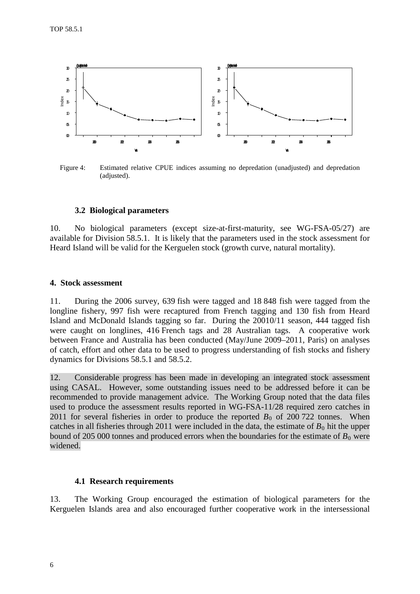<span id="page-7-0"></span>

Figure 4: Estimated relative CPUE indices assuming no depredation (unadjusted) and depredation (adjusted).

### **3.2 Biological parameters**

10. No biological parameters (except size-at-first-maturity, see WG-FSA-05/27) are available for Division 58.5.1. It is likely that the parameters used in the stock assessment for Heard Island will be valid for the Kerguelen stock (growth curve, natural mortality).

#### **4. Stock assessment**

11. During the 2006 survey, 639 fish were tagged and 18 848 fish were tagged from the longline fishery, 997 fish were recaptured from French tagging and 130 fish from Heard Island and McDonald Islands tagging so far. During the 20010/11 season, 444 tagged fish were caught on longlines, 416 French tags and 28 Australian tags. A cooperative work between France and Australia has been conducted (May/June 2009–2011, Paris) on analyses of catch, effort and other data to be used to progress understanding of fish stocks and fishery dynamics for Divisions 58.5.1 and 58.5.2.

12. Considerable progress has been made in developing an integrated stock assessment using CASAL. However, some outstanding issues need to be addressed before it can be recommended to provide management advice. The Working Group noted that the data files used to produce the assessment results reported in WG-FSA-11/28 required zero catches in 2011 for several fisheries in order to produce the reported  $B_0$  of 200 722 tonnes. When catches in all fisheries through 2011 were included in the data, the estimate of  $B_0$  hit the upper bound of 205 000 tonnes and produced errors when the boundaries for the estimate of  $B_0$  were widened.

#### **4.1 Research requirements**

13. The Working Group encouraged the estimation of biological parameters for the Kerguelen Islands area and also encouraged further cooperative work in the intersessional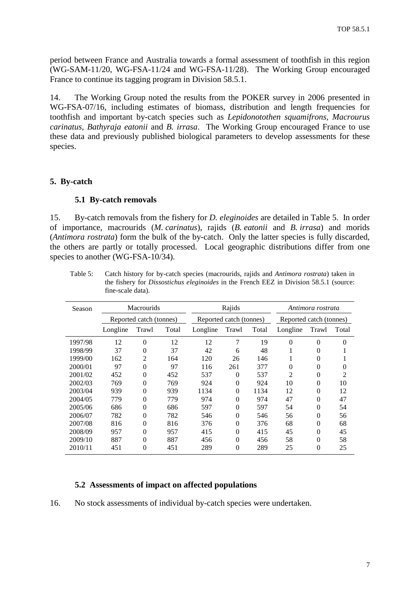<span id="page-8-0"></span>period between France and Australia towards a formal assessment of toothfish in this region (WG-SAM-11/20, WG-FSA-11/24 and WG-FSA-11/28). The Working Group encouraged France to continue its tagging program in Division 58.5.1.

14. The Working Group noted the results from the POKER survey in 2006 presented in WG-FSA-07/16, including estimates of biomass, distribution and length frequencies for toothfish and important by-catch species such as *Lepidonotothen squamifrons, Macrourus carinatus, Bathyraja eatonii* and *B. irrasa*. The Working Group encouraged France to use these data and previously published biological parameters to develop assessments for these species.

# **5. By-catch**

#### **5.1 By-catch removals**

15. By-catch removals from the fishery for *D. eleginoides* are detailed in Table 5. In order of importance, macrourids (*M. carinatus*), rajids (*B. eatonii* and *B. irrasa*) and morids (*Antimora rostrata*) form the bulk of the by-catch. Only the latter species is fully discarded, the others are partly or totally processed. Local geographic distributions differ from one species to another (WG-FSA-10/34).

| Season  | <b>Macrourids</b> |                         |       |          | Rajids                  |       |                | Antimora rostrata       |                |  |
|---------|-------------------|-------------------------|-------|----------|-------------------------|-------|----------------|-------------------------|----------------|--|
|         |                   | Reported catch (tonnes) |       |          | Reported catch (tonnes) |       |                | Reported catch (tonnes) |                |  |
|         | Longline          | Trawl                   | Total | Longline | Trawl                   | Total | Longline       | Trawl                   | Total          |  |
| 1997/98 | 12                | $\theta$                | 12    | 12       | 7                       | 19    | $\theta$       | $\Omega$                | $\Omega$       |  |
| 1998/99 | 37                | 0                       | 37    | 42       | 6                       | 48    |                | 0                       |                |  |
| 1999/00 | 162               | 2                       | 164   | 120      | 26                      | 146   |                | 0                       |                |  |
| 2000/01 | 97                | 0                       | 97    | 116      | 261                     | 377   | $\theta$       | 0                       | 0              |  |
| 2001/02 | 452               | 0                       | 452   | 537      | $\Omega$                | 537   | $\overline{c}$ | 0                       | $\mathfrak{D}$ |  |
| 2002/03 | 769               | 0                       | 769   | 924      | $\Omega$                | 924   | 10             | 0                       | 10             |  |
| 2003/04 | 939               | 0                       | 939   | 1134     | $\Omega$                | 1134  | 12             | 0                       | 12             |  |
| 2004/05 | 779               | 0                       | 779   | 974      | $\Omega$                | 974   | 47             | 0                       | 47             |  |
| 2005/06 | 686               | 0                       | 686   | 597      | $\Omega$                | 597   | 54             | 0                       | 54             |  |
| 2006/07 | 782               | 0                       | 782   | 546      | $\Omega$                | 546   | 56             | 0                       | 56             |  |
| 2007/08 | 816               | 0                       | 816   | 376      | $\Omega$                | 376   | 68             | 0                       | 68             |  |
| 2008/09 | 957               | 0                       | 957   | 415      | $\theta$                | 415   | 45             | 0                       | 45             |  |
| 2009/10 | 887               | 0                       | 887   | 456      | $\Omega$                | 456   | 58             | 0                       | 58             |  |
| 2010/11 | 451               | 0                       | 451   | 289      | 0                       | 289   | 25             | 0                       | 25             |  |

Table 5: Catch history for by-catch species (macrourids, rajids and *Antimora rostrata*) taken in the fishery for *Dissostichus eleginoides* in the French EEZ in Division 58.5.1 (source: fine-scale data).

# **5.2 Assessments of impact on affected populations**

16. No stock assessments of individual by-catch species were undertaken.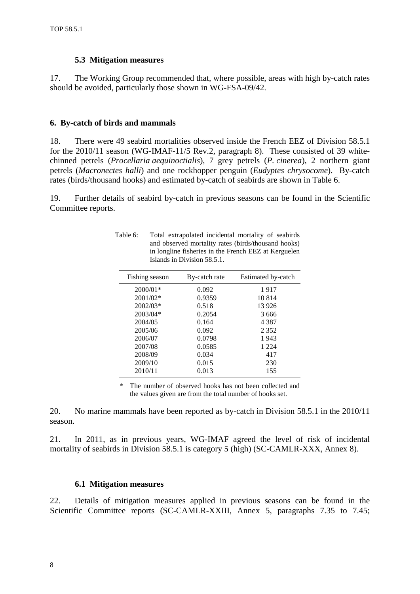### **5.3 Mitigation measures**

<span id="page-9-0"></span>17. The Working Group recommended that, where possible, areas with high by-catch rates should be avoided, particularly those shown in WG-FSA-09/42.

## **6. By-catch of birds and mammals**

18. There were 49 seabird mortalities observed inside the French EEZ of Division 58.5.1 for the 2010/11 season (WG-IMAF-11/5 Rev.2, paragraph 8). These consisted of 39 whitechinned petrels (*Procellaria aequinoctialis*), 7 grey petrels (*P. cinerea*), 2 northern giant petrels (*Macronectes halli*) and one rockhopper penguin (*Eudyptes chrysocome*). By-catch rates (birds/thousand hooks) and estimated by-catch of seabirds are shown in Table 6.

19. Further details of seabird by-catch in previous seasons can be found in the Scientific Committee reports.

Table 6: Total extrapolated incidental mortality of seabirds

Islands in Division 58.5.1.

and observed mortality rates (birds/thousand hooks) in longline fisheries in the French EEZ at Kerguelen

| Fishing season | By-catch rate | Estimated by-catch |
|----------------|---------------|--------------------|
| $2000/01*$     | 0.092         | 1917               |
| 2001/02*       | 0.9359        | 10 8 14            |
| $2002/03*$     | 0.518         | 13 9 26            |
| 2003/04*       | 0.2054        | 3666               |
| 2004/05        | 0.164         | 4 3 8 7            |
| 2005/06        | 0.092         | 2 3 5 2            |
| 2006/07        | 0.0798        | 1943               |
| 2007/08        | 0.0585        | 1 2 2 4            |
| 2008/09        | 0.034         | 417                |
| 2009/10        | 0.015         | 230                |
| 2010/11        | 0.013         | 155                |

2010/11 0.013 155 \* The number of observed hooks has not been collected and

the values given are from the total number of hooks set.

20. No marine mammals have been reported as by-catch in Division 58.5.1 in the 2010/11 season.

21. In 2011, as in previous years, WG-IMAF agreed the level of risk of incidental mortality of seabirds in Division 58.5.1 is category 5 (high) (SC-CAMLR-XXX, Annex 8).

#### **6.1 Mitigation measures**

22. Details of mitigation measures applied in previous seasons can be found in the Scientific Committee reports (SC-CAMLR-XXIII, Annex 5, paragraphs 7.35 to 7.45;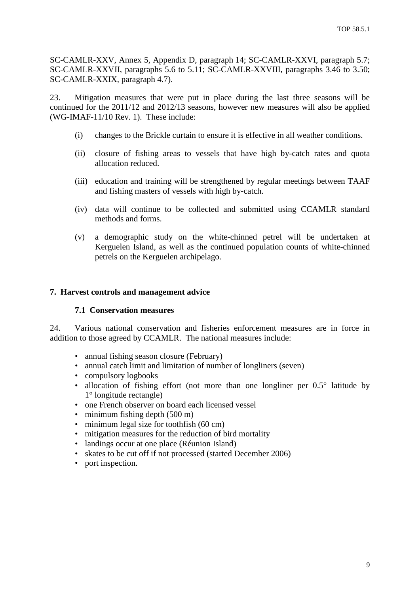<span id="page-10-0"></span>SC-CAMLR-XXV, Annex 5, Appendix D, paragraph 14; SC-CAMLR-XXVI, paragraph 5.7; SC-CAMLR-XXVII, paragraphs 5.6 to 5.11; SC-CAMLR-XXVIII, paragraphs 3.46 to 3.50; SC-CAMLR-XXIX, paragraph 4.7).

23. Mitigation measures that were put in place during the last three seasons will be continued for the 2011/12 and 2012/13 seasons, however new measures will also be applied (WG-IMAF-11/10 Rev. 1). These include:

- (i) changes to the Brickle curtain to ensure it is effective in all weather conditions.
- (ii) closure of fishing areas to vessels that have high by-catch rates and quota allocation reduced.
- (iii) education and training will be strengthened by regular meetings between TAAF and fishing masters of vessels with high by-catch.
- (iv) data will continue to be collected and submitted using CCAMLR standard methods and forms.
- (v) a demographic study on the white-chinned petrel will be undertaken at Kerguelen Island, as well as the continued population counts of white-chinned petrels on the Kerguelen archipelago.

#### **7. Harvest controls and management advice**

#### **7.1 Conservation measures**

24. Various national conservation and fisheries enforcement measures are in force in addition to those agreed by CCAMLR. The national measures include:

- annual fishing season closure (February)
- annual catch limit and limitation of number of longliners (seven)
- compulsory logbooks
- allocation of fishing effort (not more than one longliner per  $0.5^{\circ}$  latitude by 1° longitude rectangle)
- one French observer on board each licensed vessel
- minimum fishing depth (500 m)
- minimum legal size for toothfish (60 cm)
- mitigation measures for the reduction of bird mortality
- landings occur at one place (Réunion Island)
- skates to be cut off if not processed (started December 2006)
- port inspection.